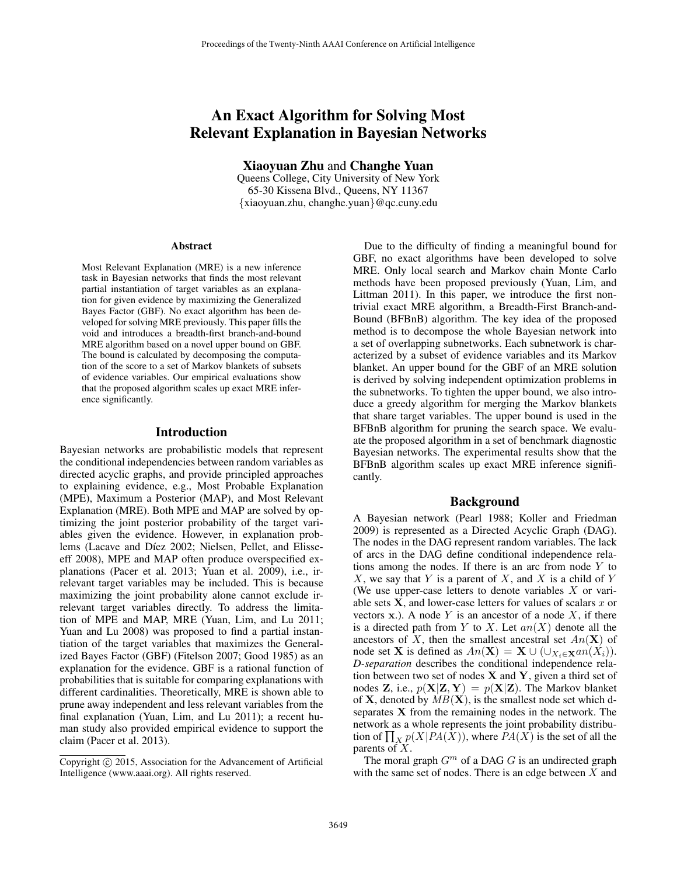# An Exact Algorithm for Solving Most Relevant Explanation in Bayesian Networks

Xiaoyuan Zhu and Changhe Yuan

Queens College, City University of New York 65-30 Kissena Blvd., Queens, NY 11367 {xiaoyuan.zhu, changhe.yuan}@qc.cuny.edu

#### Abstract

Most Relevant Explanation (MRE) is a new inference task in Bayesian networks that finds the most relevant partial instantiation of target variables as an explanation for given evidence by maximizing the Generalized Bayes Factor (GBF). No exact algorithm has been developed for solving MRE previously. This paper fills the void and introduces a breadth-first branch-and-bound MRE algorithm based on a novel upper bound on GBF. The bound is calculated by decomposing the computation of the score to a set of Markov blankets of subsets of evidence variables. Our empirical evaluations show that the proposed algorithm scales up exact MRE inference significantly.

### Introduction

Bayesian networks are probabilistic models that represent the conditional independencies between random variables as directed acyclic graphs, and provide principled approaches to explaining evidence, e.g., Most Probable Explanation (MPE), Maximum a Posterior (MAP), and Most Relevant Explanation (MRE). Both MPE and MAP are solved by optimizing the joint posterior probability of the target variables given the evidence. However, in explanation problems (Lacave and Díez 2002; Nielsen, Pellet, and Elisseeff 2008), MPE and MAP often produce overspecified explanations (Pacer et al. 2013; Yuan et al. 2009), i.e., irrelevant target variables may be included. This is because maximizing the joint probability alone cannot exclude irrelevant target variables directly. To address the limitation of MPE and MAP, MRE (Yuan, Lim, and Lu 2011; Yuan and Lu 2008) was proposed to find a partial instantiation of the target variables that maximizes the Generalized Bayes Factor (GBF) (Fitelson 2007; Good 1985) as an explanation for the evidence. GBF is a rational function of probabilities that is suitable for comparing explanations with different cardinalities. Theoretically, MRE is shown able to prune away independent and less relevant variables from the final explanation (Yuan, Lim, and Lu 2011); a recent human study also provided empirical evidence to support the claim (Pacer et al. 2013).

Due to the difficulty of finding a meaningful bound for GBF, no exact algorithms have been developed to solve MRE. Only local search and Markov chain Monte Carlo methods have been proposed previously (Yuan, Lim, and Littman 2011). In this paper, we introduce the first nontrivial exact MRE algorithm, a Breadth-First Branch-and-Bound (BFBnB) algorithm. The key idea of the proposed method is to decompose the whole Bayesian network into a set of overlapping subnetworks. Each subnetwork is characterized by a subset of evidence variables and its Markov blanket. An upper bound for the GBF of an MRE solution is derived by solving independent optimization problems in the subnetworks. To tighten the upper bound, we also introduce a greedy algorithm for merging the Markov blankets that share target variables. The upper bound is used in the BFBnB algorithm for pruning the search space. We evaluate the proposed algorithm in a set of benchmark diagnostic Bayesian networks. The experimental results show that the BFBnB algorithm scales up exact MRE inference significantly.

#### Background

A Bayesian network (Pearl 1988; Koller and Friedman 2009) is represented as a Directed Acyclic Graph (DAG). The nodes in the DAG represent random variables. The lack of arcs in the DAG define conditional independence relations among the nodes. If there is an arc from node  $Y$  to  $X$ , we say that Y is a parent of X, and X is a child of Y (We use upper-case letters to denote variables  $X$  or variable sets  $X$ , and lower-case letters for values of scalars  $x$  or vectors  $x$ .). A node Y is an ancestor of a node X, if there is a directed path from Y to X. Let  $an(X)$  denote all the ancestors of X, then the smallest ancestral set  $An(\mathbf{X})$  of node set **X** is defined as  $An(\mathbf{X}) = \mathbf{X} \cup (\cup_{X_i \in \mathbf{X}} an(X_i)).$ *D-separation* describes the conditional independence relation between two set of nodes  $X$  and  $Y$ , given a third set of nodes Z, i.e.,  $p(X|Z, Y) = p(X|Z)$ . The Markov blanket of **X**, denoted by  $MB(\mathbf{X})$ , is the smallest node set which dseparates X from the remaining nodes in the network. The network as a whole represents the joint probability distribution of  $\prod_{X} p(X|PA(X))$ , where  $PA(X)$  is the set of all the parents of X.

The moral graph  $G<sup>m</sup>$  of a DAG G is an undirected graph with the same set of nodes. There is an edge between  $X$  and

Copyright © 2015, Association for the Advancement of Artificial Intelligence (www.aaai.org). All rights reserved.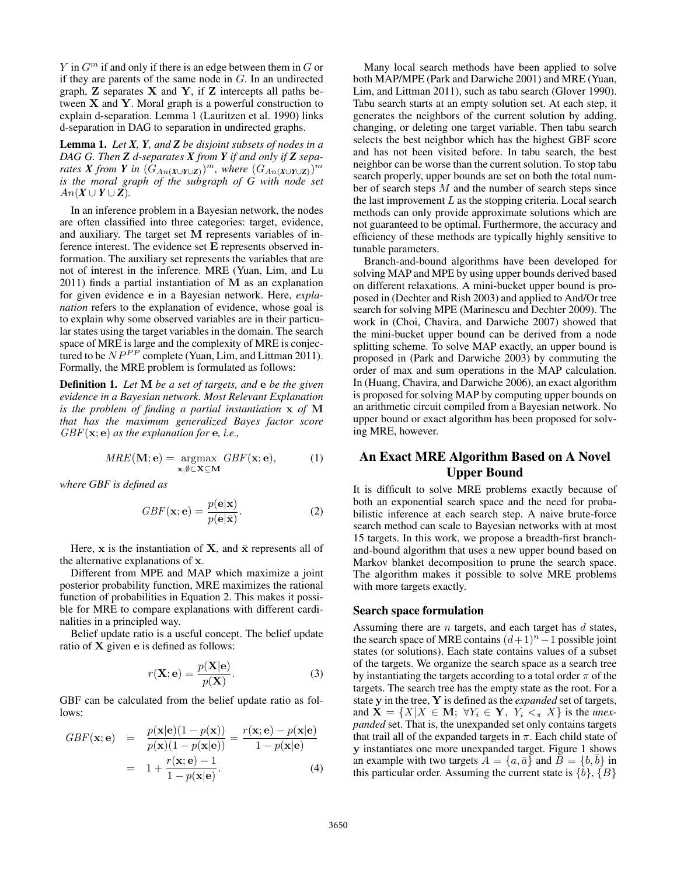$Y$  in  $G<sup>m</sup>$  if and only if there is an edge between them in  $G$  or if they are parents of the same node in G. In an undirected graph,  $Z$  separates  $X$  and  $Y$ , if  $Z$  intercepts all paths between  $X$  and  $Y$ . Moral graph is a powerful construction to explain d-separation. Lemma 1 (Lauritzen et al. 1990) links d-separation in DAG to separation in undirected graphs.

Lemma 1. *Let X, Y, and Z be disjoint subsets of nodes in a DAG G. Then Z d-separates X from Y if and only if Z separates X from Y in*  $(\hat{G}_{An(X\cup Y\cup Z)})^m$ *, where*  $(G_{An(X\cup Y\cup Z)})^m$ *is the moral graph of the subgraph of G with node set*  $An(X \cup Y \cup Z)$ .

In an inference problem in a Bayesian network, the nodes are often classified into three categories: target, evidence, and auxiliary. The target set M represents variables of inference interest. The evidence set E represents observed information. The auxiliary set represents the variables that are not of interest in the inference. MRE (Yuan, Lim, and Lu 2011) finds a partial instantiation of M as an explanation for given evidence e in a Bayesian network. Here, *explanation* refers to the explanation of evidence, whose goal is to explain why some observed variables are in their particular states using the target variables in the domain. The search space of MRE is large and the complexity of MRE is conjectured to be  $NP^{PP}$  complete (Yuan, Lim, and Littman 2011). Formally, the MRE problem is formulated as follows:

Definition 1. *Let* M *be a set of targets, and* e *be the given evidence in a Bayesian network. Most Relevant Explanation is the problem of finding a partial instantiation* x *of* M *that has the maximum generalized Bayes factor score* GBF(x; e) *as the explanation for* e*, i.e.,*

$$
MRE(\mathbf{M}; \mathbf{e}) = \underset{\mathbf{x}, \emptyset \subset \mathbf{X} \subseteq \mathbf{M}}{\operatorname{argmax}} \; GBF(\mathbf{x}; \mathbf{e}), \tag{1}
$$

*where GBF is defined as*

$$
GBF(\mathbf{x};\mathbf{e}) = \frac{p(\mathbf{e}|\mathbf{x})}{p(\mathbf{e}|\bar{\mathbf{x}})}.
$$
 (2)

Here, x is the instantiation of X, and  $\bar{x}$  represents all of the alternative explanations of x.

Different from MPE and MAP which maximize a joint posterior probability function, MRE maximizes the rational function of probabilities in Equation 2. This makes it possible for MRE to compare explanations with different cardinalities in a principled way.

Belief update ratio is a useful concept. The belief update ratio of X given e is defined as follows:

$$
r(\mathbf{X}, \mathbf{e}) = \frac{p(\mathbf{X}|\mathbf{e})}{p(\mathbf{X})}.
$$
 (3)

GBF can be calculated from the belief update ratio as follows:

$$
GBF(\mathbf{x};\mathbf{e}) = \frac{p(\mathbf{x}|\mathbf{e})(1-p(\mathbf{x}))}{p(\mathbf{x})(1-p(\mathbf{x}|\mathbf{e}))} = \frac{r(\mathbf{x};\mathbf{e}) - p(\mathbf{x}|\mathbf{e})}{1-p(\mathbf{x}|\mathbf{e})}
$$

$$
= 1 + \frac{r(\mathbf{x};\mathbf{e}) - 1}{1-p(\mathbf{x}|\mathbf{e})}.
$$
(4)

Many local search methods have been applied to solve both MAP/MPE (Park and Darwiche 2001) and MRE (Yuan, Lim, and Littman 2011), such as tabu search (Glover 1990). Tabu search starts at an empty solution set. At each step, it generates the neighbors of the current solution by adding, changing, or deleting one target variable. Then tabu search selects the best neighbor which has the highest GBF score and has not been visited before. In tabu search, the best neighbor can be worse than the current solution. To stop tabu search properly, upper bounds are set on both the total number of search steps  $M$  and the number of search steps since the last improvement  $L$  as the stopping criteria. Local search methods can only provide approximate solutions which are not guaranteed to be optimal. Furthermore, the accuracy and efficiency of these methods are typically highly sensitive to tunable parameters.

Branch-and-bound algorithms have been developed for solving MAP and MPE by using upper bounds derived based on different relaxations. A mini-bucket upper bound is proposed in (Dechter and Rish 2003) and applied to And/Or tree search for solving MPE (Marinescu and Dechter 2009). The work in (Choi, Chavira, and Darwiche 2007) showed that the mini-bucket upper bound can be derived from a node splitting scheme. To solve MAP exactly, an upper bound is proposed in (Park and Darwiche 2003) by commuting the order of max and sum operations in the MAP calculation. In (Huang, Chavira, and Darwiche 2006), an exact algorithm is proposed for solving MAP by computing upper bounds on an arithmetic circuit compiled from a Bayesian network. No upper bound or exact algorithm has been proposed for solving MRE, however.

## An Exact MRE Algorithm Based on A Novel Upper Bound

It is difficult to solve MRE problems exactly because of both an exponential search space and the need for probabilistic inference at each search step. A naive brute-force search method can scale to Bayesian networks with at most 15 targets. In this work, we propose a breadth-first branchand-bound algorithm that uses a new upper bound based on Markov blanket decomposition to prune the search space. The algorithm makes it possible to solve MRE problems with more targets exactly.

#### Search space formulation

Assuming there are  $n$  targets, and each target has  $d$  states, the search space of MRE contains  $(d+1)^n-1$  possible joint states (or solutions). Each state contains values of a subset of the targets. We organize the search space as a search tree by instantiating the targets according to a total order  $\pi$  of the targets. The search tree has the empty state as the root. For a state y in the tree, Y is defined as the *expanded* set of targets, and  $X = \{X | X \in M; \forall Y_i \in Y, Y_i <_{\pi} X\}$  is the *unexpanded* set. That is, the unexpanded set only contains targets that trail all of the expanded targets in  $\pi$ . Each child state of y instantiates one more unexpanded target. Figure 1 shows an example with two targets  $A = \{a, \bar{a}\}\$ and  $B = \{b, \bar{b}\}\$ in this particular order. Assuming the current state is  $\{b\}, \{B\}$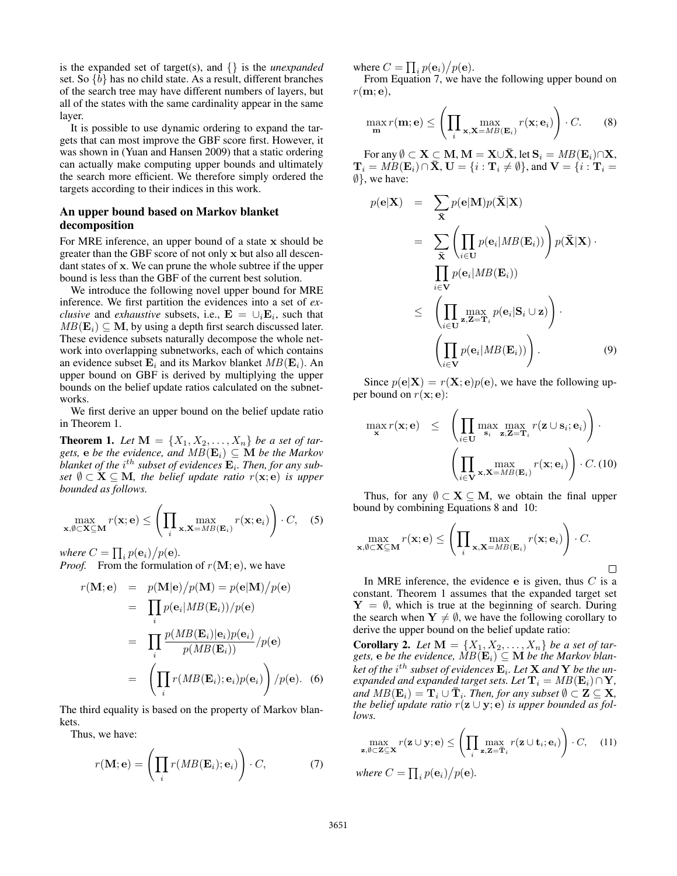is the expanded set of target(s), and {} is the *unexpanded* set. So {b} has no child state. As a result, different branches of the search tree may have different numbers of layers, but all of the states with the same cardinality appear in the same layer.

It is possible to use dynamic ordering to expand the targets that can most improve the GBF score first. However, it was shown in (Yuan and Hansen 2009) that a static ordering can actually make computing upper bounds and ultimately the search more efficient. We therefore simply ordered the targets according to their indices in this work.

## An upper bound based on Markov blanket decomposition

For MRE inference, an upper bound of a state x should be greater than the GBF score of not only x but also all descendant states of x. We can prune the whole subtree if the upper bound is less than the GBF of the current best solution.

We introduce the following novel upper bound for MRE inference. We first partition the evidences into a set of *exclusive* and *exhaustive* subsets, i.e.,  $\mathbf{E} = \cup_i \mathbf{E}_i$ , such that  $MB(E_i) \subset M$ , by using a depth first search discussed later. These evidence subsets naturally decompose the whole network into overlapping subnetworks, each of which contains an evidence subset  $\mathbf{E}_i$  and its Markov blanket  $MB(\mathbf{E}_i)$ . An upper bound on GBF is derived by multiplying the upper bounds on the belief update ratios calculated on the subnetworks.

We first derive an upper bound on the belief update ratio in Theorem 1.

**Theorem 1.** Let  $M = \{X_1, X_2, \ldots, X_n\}$  be a set of tar*gets,* **e** *be the evidence, and*  $MB(E_i) \subseteq M$  *be the Markov* blanket of the  $i^{th}$  subset of evidences  $\mathbf{E}_i$ . Then, for any sub*set*  $\emptyset \subset \mathbf{X} \subseteq \mathbf{M}$ *, the belief update ratio*  $r(\mathbf{x}; e)$  *is upper bounded as follows.*

$$
\max_{\mathbf{x}, \emptyset \subset \mathbf{X} \subseteq \mathbf{M}} r(\mathbf{x}; \mathbf{e}) \le \left( \prod_{i} \max_{\mathbf{x}, \mathbf{X} = MB(\mathbf{E}_i)} r(\mathbf{x}; \mathbf{e}_i) \right) \cdot C, \quad (5)
$$

where  $C = \prod_i p(\mathbf{e}_i) / p(\mathbf{e})$ .

*Proof.* From the formulation of  $r(M; e)$ , we have

$$
r(\mathbf{M}; \mathbf{e}) = p(\mathbf{M}|\mathbf{e})/p(\mathbf{M}) = p(\mathbf{e}|\mathbf{M})/p(\mathbf{e})
$$
  
\n
$$
= \prod_{i} p(\mathbf{e}_{i}|MB(\mathbf{E}_{i}))/p(\mathbf{e})
$$
  
\n
$$
= \prod_{i} \frac{p(MB(\mathbf{E}_{i})|\mathbf{e}_{i})p(\mathbf{e}_{i})}{p(MB(\mathbf{E}_{i}))}/p(\mathbf{e})
$$
  
\n
$$
= \left(\prod_{i} r(MB(\mathbf{E}_{i}); \mathbf{e}_{i})p(\mathbf{e}_{i})\right)/p(\mathbf{e}).
$$
 (6)

The third equality is based on the property of Markov blankets.

Thus, we have:

$$
r(\mathbf{M}; \mathbf{e}) = \left(\prod_i r(MB(\mathbf{E}_i); \mathbf{e}_i)\right) \cdot C, \tag{7}
$$

where  $C = \prod_i p(\mathbf{e}_i) / p(\mathbf{e})$ .

From Equation 7, we have the following upper bound on  $r(m; e)$ ,

$$
\max_{\mathbf{m}} r(\mathbf{m}; \mathbf{e}) \le \left( \prod_{i} \max_{\mathbf{x}, \mathbf{X} = MB(\mathbf{E}_i)} r(\mathbf{x}; \mathbf{e}_i) \right) \cdot C. \tag{8}
$$

For any  $\emptyset \subset \mathbf{X} \subset \mathbf{M}, \mathbf{M} = \mathbf{X} \cup \mathbf{X}$ , let  $\mathbf{S}_i = MB(\mathbf{E}_i) \cap \mathbf{X}$ ,  $\mathbf{T}_i = MB(\mathbf{E}_i) \cap \bar{\mathbf{X}}, \mathbf{U} = \{i : \mathbf{T}_i \neq \emptyset\}$ , and  $\mathbf{V} = \{i : \mathbf{T}_i = \emptyset\}$ ∅}, we have:

$$
p(\mathbf{e}|\mathbf{X}) = \sum_{\bar{\mathbf{X}}} p(\mathbf{e}|\mathbf{M}) p(\bar{\mathbf{X}}|\mathbf{X})
$$
  
\n
$$
= \sum_{\bar{\mathbf{X}}} \left( \prod_{i \in \mathbf{U}} p(\mathbf{e}_i | MB(\mathbf{E}_i)) \right) p(\bar{\mathbf{X}}|\mathbf{X}) \cdot \prod_{i \in \mathbf{V}} p(\mathbf{e}_i | MB(\mathbf{E}_i))
$$
  
\n
$$
\leq \left( \prod_{i \in \mathbf{U}} \max_{\mathbf{z}, \mathbf{Z} = \mathbf{T}_i} p(\mathbf{e}_i | \mathbf{S}_i \cup \mathbf{z}) \right) \cdot \left( \prod_{i \in \mathbf{V}} p(\mathbf{e}_i | MB(\mathbf{E}_i)) \right). \tag{9}
$$

Since  $p(\mathbf{e}|\mathbf{X}) = r(\mathbf{X}; \mathbf{e})p(\mathbf{e})$ , we have the following upper bound on  $r(\mathbf{x}; \mathbf{e})$ :

$$
\max_{\mathbf{x}} r(\mathbf{x}; \mathbf{e}) \leq \left( \prod_{i \in \mathbf{U}} \max_{\mathbf{s}_i} \max_{\mathbf{z}, \mathbf{Z} = \mathbf{T}_i} r(\mathbf{z} \cup \mathbf{s}_i; \mathbf{e}_i) \right) \cdot \left( \prod_{i \in \mathbf{V}} \max_{\mathbf{x}, \mathbf{X} = MB(\mathbf{E}_i)} r(\mathbf{x}; \mathbf{e}_i) \right) \cdot C. (10)
$$

Thus, for any  $\emptyset \subset X \subseteq M$ , we obtain the final upper bound by combining Equations 8 and 10:

$$
\max_{\mathbf{x}, \emptyset \subset \mathbf{X} \subseteq \mathbf{M}} r(\mathbf{x}; \mathbf{e}) \le \left( \prod_i \max_{\mathbf{x}, \mathbf{X} = MB(\mathbf{E}_i)} r(\mathbf{x}; \mathbf{e}_i) \right) \cdot C.
$$

In MRE inference, the evidence  $\bf{e}$  is given, thus  $C$  is a constant. Theorem 1 assumes that the expanded target set  $Y = \emptyset$ , which is true at the beginning of search. During the search when  $Y \neq \emptyset$ , we have the following corollary to derive the upper bound on the belief update ratio:

**Corollary 2.** Let  $\mathbf{M} = \{X_1, X_2, \ldots, X_n\}$  be a set of targets, **e** be the evidence,  $\overline{MB}(\mathbf{E}_i) \subseteq \mathbf{M}$  be the Markov blan $k$ et of the  $i^{th}$  subset of evidences  $\mathbf{E}_i$ . Let  $\mathbf{X}$  and  $\mathbf{Y}$  be the un*expanded and expanded target sets. Let*  $\mathbf{T}_i = MB(\mathbf{E}_i) \cap \mathbf{Y}$ *,*  $\hat{A}$  and  $MB(\mathbf{E}_i) = \mathbf{T}_i \cup \mathbf{\bar{T}}_i$ . Then, for any subset  $\emptyset \subset \mathbf{Z} \subseteq \mathbf{X}$ , *the belief update ratio*  $r(z \cup y; e)$  *is upper bounded as follows.*

$$
\max_{\mathbf{z}, \emptyset \subset \mathbf{Z} \subseteq \mathbf{X}} r(\mathbf{z} \cup \mathbf{y}; \mathbf{e}) \leq \left( \prod_{i} \max_{\mathbf{z}, \mathbf{Z} = \overline{\mathbf{T}}_i} r(\mathbf{z} \cup \mathbf{t}_i; \mathbf{e}_i) \right) \cdot C, \quad (11)
$$
\nwhere  $C = \prod_i p(\mathbf{e}_i) / p(\mathbf{e})$ .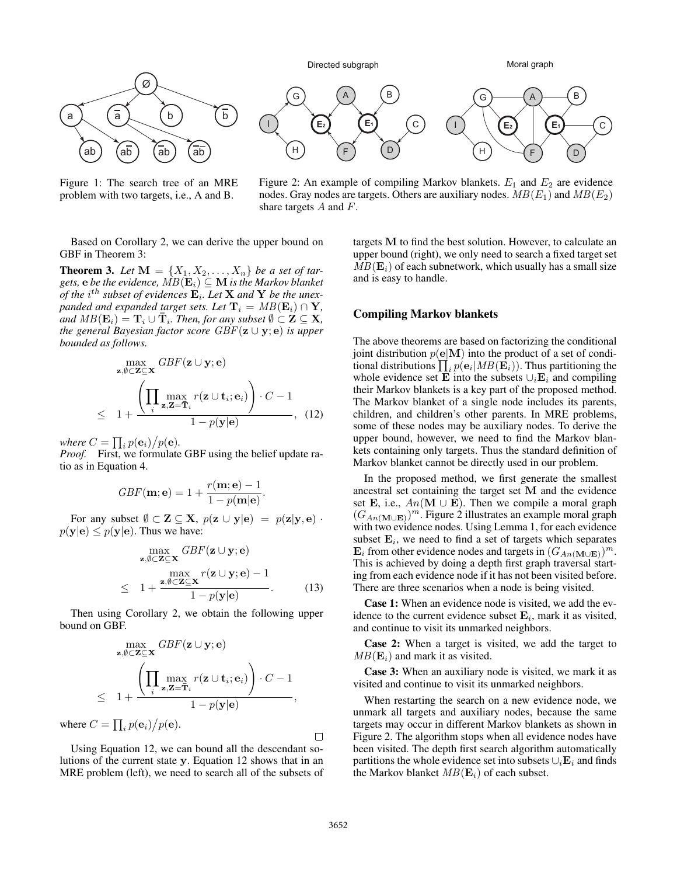

Figure 1: The search tree of an MRE problem with two targets, i.e., A and B.



Figure 2: An example of compiling Markov blankets.  $E_1$  and  $E_2$  are evidence nodes. Gray nodes are targets. Others are auxiliary nodes.  $MB(E_1)$  and  $MB(E_2)$ share targets  $A$  and  $F$ .

Based on Corollary 2, we can derive the upper bound on GBF in Theorem 3:

**Theorem 3.** Let  $M = \{X_1, X_2, \ldots, X_n\}$  be a set of tar*gets, e be the evidence,*  $MB(E_i) \subseteq M$  *is the Markov blanket* of the i<sup>th</sup> subset of evidences  $\mathbf{E}_i$ . Let **X** and **Y** be the unex*panded and expanded target sets. Let*  $\mathbf{T}_i = MB(\mathbf{E}_i) \cap \mathbf{Y}$ *,*  $\hat{A}$  and  $MB(\mathbf{E}_i) = \mathbf{T}_i \cup \mathbf{\bar{T}}_i$ . Then, for any subset  $\emptyset \subset \mathbf{Z} \subseteq \mathbf{X}$ , *the general Bayesian factor score*  $GBF(z \cup y; e)$  *is upper bounded as follows.*

$$
\max_{\mathbf{z}, \emptyset \subset \mathbf{Z} \subseteq \mathbf{X}} GBF(\mathbf{z} \cup \mathbf{y}; \mathbf{e})
$$
  
 
$$
\leq 1 + \frac{\left(\prod_{i} \max_{\mathbf{z}, \mathbf{Z} = \overline{\mathbf{T}}_i} r(\mathbf{z} \cup \mathbf{t}_i; \mathbf{e}_i)\right) \cdot C - 1}{1 - p(\mathbf{y}|\mathbf{e})}, (12)
$$

where  $C = \prod_i p(\mathbf{e}_i) / p(\mathbf{e})$ .

*Proof.* First, we formulate GBF using the belief update ratio as in Equation 4.

$$
GBF(\mathbf{m}; \mathbf{e}) = 1 + \frac{r(\mathbf{m}; \mathbf{e}) - 1}{1 - p(\mathbf{m}|\mathbf{e})}.
$$

For any subset  $\emptyset \subset \mathbf{Z} \subseteq \mathbf{X}$ ,  $p(\mathbf{z} \cup \mathbf{y}|\mathbf{e}) = p(\mathbf{z}|\mathbf{y}, \mathbf{e})$ .  $p(\mathbf{y}|\mathbf{e}) \leq p(\mathbf{y}|\mathbf{e})$ . Thus we have:

$$
\max_{\mathbf{z}, \emptyset \subset \mathbf{Z} \subseteq \mathbf{X}} GBF(\mathbf{z} \cup \mathbf{y}; \mathbf{e})
$$
\n
$$
\max_{\mathbf{z}, \emptyset \subset \mathbf{Z} \subseteq \mathbf{X}} r(\mathbf{z} \cup \mathbf{y}; \mathbf{e}) - 1
$$
\n
$$
\leq 1 + \frac{\mathbf{z}, \emptyset \subset \mathbf{Z} \subseteq \mathbf{X}}{1 - p(\mathbf{y}|\mathbf{e})}.
$$
\n(13)

Then using Corollary 2, we obtain the following upper bound on GBF.

$$
\max_{\mathbf{z}, \emptyset \subset \mathbf{Z} \subseteq \mathbf{X}} GBF(\mathbf{z} \cup \mathbf{y}; \mathbf{e})
$$
  
 
$$
\leq 1 + \frac{\left(\prod_{i} \max_{\mathbf{z}, \mathbf{Z} = \overline{\mathbf{T}}_i} r(\mathbf{z} \cup \mathbf{t}_i; \mathbf{e}_i)\right) \cdot C - 1}{1 - p(\mathbf{y}|\mathbf{e})},
$$

where  $C = \prod_i p(\mathbf{e}_i) / p(\mathbf{e})$ .

Using Equation 12, we can bound all the descendant solutions of the current state y. Equation 12 shows that in an MRE problem (left), we need to search all of the subsets of

targets M to find the best solution. However, to calculate an upper bound (right), we only need to search a fixed target set  $MB(E<sub>i</sub>)$  of each subnetwork, which usually has a small size and is easy to handle.

#### Compiling Markov blankets

The above theorems are based on factorizing the conditional joint distribution  $p(e|\mathbf{M})$  into the product of a set of conditional distributions  $\prod_i p(\mathbf{e}_i | MB(\mathbf{E}_i))$ . Thus partitioning the whole evidence set E into the subsets  $\cup_i$ E<sub>i</sub> and compiling their Markov blankets is a key part of the proposed method. The Markov blanket of a single node includes its parents, children, and children's other parents. In MRE problems, some of these nodes may be auxiliary nodes. To derive the upper bound, however, we need to find the Markov blankets containing only targets. Thus the standard definition of Markov blanket cannot be directly used in our problem.

In the proposed method, we first generate the smallest ancestral set containing the target set M and the evidence set E, i.e.,  $An(\mathbf{M} \cup \mathbf{E})$ . Then we compile a moral graph  $(G_{An(\mathbf{M}\cup\mathbf{E})})^m$ . Figure 2 illustrates an example moral graph with two evidence nodes. Using Lemma 1, for each evidence subset  $\mathbf{E}_i$ , we need to find a set of targets which separates  $\mathbf{E}_i$  from other evidence nodes and targets in  $(G_{An}(\mathbf{M}\cup\mathbf{E}))^m$ . This is achieved by doing a depth first graph traversal starting from each evidence node if it has not been visited before. There are three scenarios when a node is being visited.

Case 1: When an evidence node is visited, we add the evidence to the current evidence subset  $\mathbf{E}_i$ , mark it as visited, and continue to visit its unmarked neighbors.

Case 2: When a target is visited, we add the target to  $MB(\mathbf{E}_i)$  and mark it as visited.

Case 3: When an auxiliary node is visited, we mark it as visited and continue to visit its unmarked neighbors.

When restarting the search on a new evidence node, we unmark all targets and auxiliary nodes, because the same targets may occur in different Markov blankets as shown in Figure 2. The algorithm stops when all evidence nodes have been visited. The depth first search algorithm automatically partitions the whole evidence set into subsets  $\cup_i$ **E**<sub>i</sub> and finds the Markov blanket  $MB(E_i)$  of each subset.

 $\Box$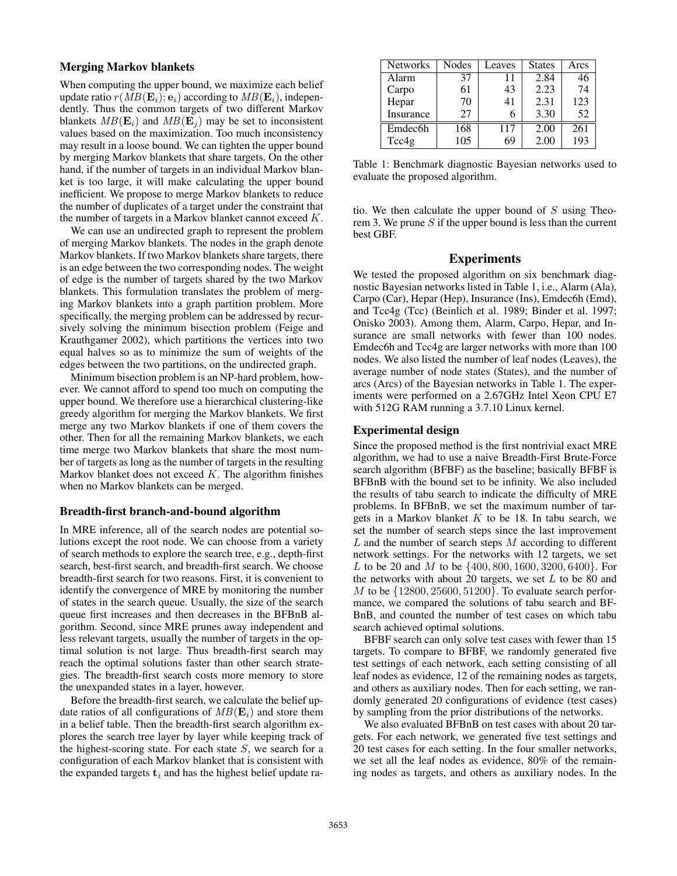## Merging Markov blankets

When computing the upper bound, we maximize each belief update ratio  $r(MB(\mathbf{E}_i);\mathbf{e}_i)$  according to  $MB(\mathbf{E}_i)$ , independently. Thus the common targets of two different Markov blankets  $MB(\mathbf{E}_i)$  and  $MB(\mathbf{E}_j)$  may be set to inconsistent values based on the maximization. Too much inconsistency may result in a loose bound. We can tighten the upper bound by merging Markov blankets that share targets. On the other hand, if the number of targets in an individual Markov blanket is too large, it will make calculating the upper bound inefficient. We propose to merge Markov blankets to reduce the number of duplicates of a target under the constraint that the number of targets in a Markov blanket cannot exceed K.

We can use an undirected graph to represent the problem of merging Markov blankets. The nodes in the graph denote Markov blankets. If two Markov blankets share targets, there is an edge between the two corresponding nodes. The weight of edge is the number of targets shared by the two Markov blankets. This formulation translates the problem of merging Markov blankets into a graph partition problem. More specifically, the merging problem can be addressed by recursively solving the minimum bisection problem (Feige and Krauthgamer 2002), which partitions the vertices into two equal halves so as to minimize the sum of weights of the edges between the two partitions, on the undirected graph.

Minimum bisection problem is an NP-hard problem, however. We cannot afford to spend too much on computing the upper bound. We therefore use a hierarchical clustering-like greedy algorithm for merging the Markov blankets. We first merge any two Markov blankets if one of them covers the other. Then for all the remaining Markov blankets, we each time merge two Markov blankets that share the most number of targets as long as the number of targets in the resulting Markov blanket does not exceed  $K$ . The algorithm finishes when no Markov blankets can be merged.

### Breadth-first branch-and-bound algorithm

In MRE inference, all of the search nodes are potential solutions except the root node. We can choose from a variety of search methods to explore the search tree, e.g., depth-first search, best-first search, and breadth-first search. We choose breadth-first search for two reasons. First, it is convenient to identify the convergence of MRE by monitoring the number of states in the search queue. Usually, the size of the search queue first increases and then decreases in the BFBnB algorithm. Second, since MRE prunes away independent and less relevant targets, usually the number of targets in the optimal solution is not large. Thus breadth-first search may reach the optimal solutions faster than other search strategies. The breadth-first search costs more memory to store the unexpanded states in a layer, however.

Before the breadth-first search, we calculate the belief update ratios of all configurations of  $MB(E_i)$  and store them in a belief table. Then the breadth-first search algorithm explores the search tree layer by layer while keeping track of the highest-scoring state. For each state  $S$ , we search for a configuration of each Markov blanket that is consistent with the expanded targets  $t_i$  and has the highest belief update ra-

| <b>Networks</b>     | Nodes | Leaves | <b>States</b> | Arcs |
|---------------------|-------|--------|---------------|------|
| Alarm               | 37    | 11     | 2.84          | 46   |
| Carpo               | 61    | 43     | 2.23          | 74   |
| Hepar               | 70    | 41     | 2.31          | 123  |
| Insurance           | 27    | 6      | 3.30          | 52   |
| Emdec <sub>6h</sub> | 168   | 117    | 2.00          | 261  |
| Tcc4g               | 105   | 69     | 2.00          | 193  |

Table 1: Benchmark diagnostic Bayesian networks used to evaluate the proposed algorithm.

tio. We then calculate the upper bound of  $S$  using Theorem 3. We prune  $S$  if the upper bound is less than the current best GBF.

## Experiments

We tested the proposed algorithm on six benchmark diagnostic Bayesian networks listed in Table 1, i.e., Alarm (Ala), Carpo (Car), Hepar (Hep), Insurance (Ins), Emdec6h (Emd), and Tcc4g (Tcc) (Beinlich et al. 1989; Binder et al. 1997; Onisko 2003). Among them, Alarm, Carpo, Hepar, and Insurance are small networks with fewer than 100 nodes. Emdec6h and Tcc4g are larger networks with more than 100 nodes. We also listed the number of leaf nodes (Leaves), the average number of node states (States), and the number of arcs (Arcs) of the Bayesian networks in Table 1. The experiments were performed on a 2.67GHz Intel Xeon CPU E7 with 512G RAM running a 3.7.10 Linux kernel.

## Experimental design

Since the proposed method is the first nontrivial exact MRE algorithm, we had to use a naive Breadth-First Brute-Force search algorithm (BFBF) as the baseline; basically BFBF is BFBnB with the bound set to be infinity. We also included the results of tabu search to indicate the difficulty of MRE problems. In BFBnB, we set the maximum number of targets in a Markov blanket  $K$  to be 18. In tabu search, we set the number of search steps since the last improvement  $L$  and the number of search steps  $M$  according to different network settings. For the networks with 12 targets, we set L to be 20 and M to be  $\{400, 800, 1600, 3200, 6400\}$ . For the networks with about 20 targets, we set  $L$  to be 80 and  $M$  to be  $\{12800, 25600, 51200\}$ . To evaluate search performance, we compared the solutions of tabu search and BF-BnB, and counted the number of test cases on which tabu search achieved optimal solutions.

BFBF search can only solve test cases with fewer than 15 targets. To compare to BFBF, we randomly generated five test settings of each network, each setting consisting of all leaf nodes as evidence, 12 of the remaining nodes as targets, and others as auxiliary nodes. Then for each setting, we randomly generated 20 configurations of evidence (test cases) by sampling from the prior distributions of the networks.

We also evaluated BFBnB on test cases with about 20 targets. For each network, we generated five test settings and 20 test cases for each setting. In the four smaller networks, we set all the leaf nodes as evidence, 80% of the remaining nodes as targets, and others as auxiliary nodes. In the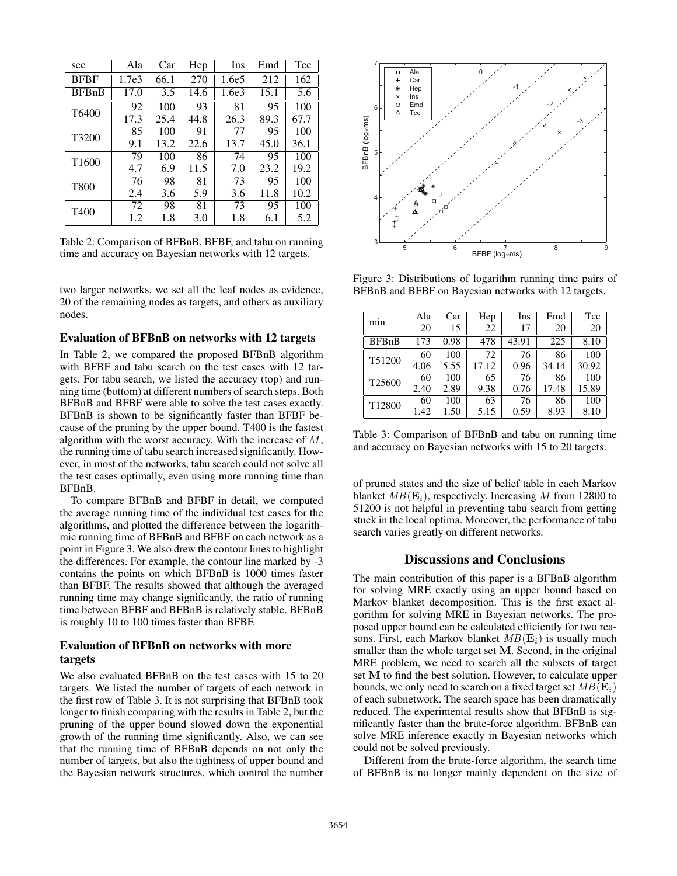| sec               | Ala   | Car  | Hep  | Ins   | Emd  | Tcc  |
|-------------------|-------|------|------|-------|------|------|
| <b>BFBF</b>       | 1.7e3 | 66.1 | 270  | 1.6e5 | 212  | 162  |
| <b>BFBnB</b>      | 17.0  | 3.5  | 14.6 | 1.6e3 | 15.1 | 5.6  |
| T6400             | 92    | 100  | 93   | 81    | 95   | 100  |
|                   | 17.3  | 25.4 | 44.8 | 26.3  | 89.3 | 67.7 |
| T3200             | 85    | 100  | 91   | 77    | 95   | 100  |
|                   | 9.1   | 13.2 | 22.6 | 13.7  | 45.0 | 36.1 |
| T <sub>1600</sub> | 79    | 100  | 86   | 74    | 95   | 100  |
|                   | 4.7   | 6.9  | 11.5 | 7.0   | 23.2 | 19.2 |
| T800              | 76    | 98   | 81   | 73    | 95   | 100  |
|                   | 2.4   | 3.6  | 5.9  | 3.6   | 11.8 | 10.2 |
| T <sub>400</sub>  | 72    | 98   | 81   | 73    | 95   | 100  |
|                   | 1.2   | 1.8  | 3.0  | 1.8   | 6.1  | 5.2  |

Table 2: Comparison of BFBnB, BFBF, and tabu on running time and accuracy on Bayesian networks with 12 targets.

two larger networks, we set all the leaf nodes as evidence, 20 of the remaining nodes as targets, and others as auxiliary nodes.

#### Evaluation of BFBnB on networks with 12 targets

In Table 2, we compared the proposed BFBnB algorithm with BFBF and tabu search on the test cases with 12 targets. For tabu search, we listed the accuracy (top) and running time (bottom) at different numbers of search steps. Both BFBnB and BFBF were able to solve the test cases exactly. BFBnB is shown to be significantly faster than BFBF because of the pruning by the upper bound. T400 is the fastest algorithm with the worst accuracy. With the increase of  $M$ , the running time of tabu search increased significantly. However, in most of the networks, tabu search could not solve all the test cases optimally, even using more running time than BFBnB.

To compare BFBnB and BFBF in detail, we computed the average running time of the individual test cases for the algorithms, and plotted the difference between the logarithmic running time of BFBnB and BFBF on each network as a point in Figure 3. We also drew the contour lines to highlight the differences. For example, the contour line marked by -3 contains the points on which BFBnB is 1000 times faster than BFBF. The results showed that although the averaged running time may change significantly, the ratio of running time between BFBF and BFBnB is relatively stable. BFBnB is roughly 10 to 100 times faster than BFBF.

## Evaluation of BFBnB on networks with more targets

We also evaluated BFBnB on the test cases with 15 to 20 targets. We listed the number of targets of each network in the first row of Table 3. It is not surprising that BFBnB took longer to finish comparing with the results in Table 2, but the pruning of the upper bound slowed down the exponential growth of the running time significantly. Also, we can see that the running time of BFBnB depends on not only the number of targets, but also the tightness of upper bound and the Bayesian network structures, which control the number



Figure 3: Distributions of logarithm running time pairs of BFBnB and BFBF on Bayesian networks with 12 targets.

| min                | Ala<br>20 | Car<br>15 | Hep<br>22 | Ins<br>17 | Emd<br>20 | Tcc<br>20 |
|--------------------|-----------|-----------|-----------|-----------|-----------|-----------|
| <b>BFBnB</b>       | 173       | 0.98      | 478       | 43.91     | 225       | 8.10      |
| T51200             | 60        | 100       | 72        | 76        | 86        | 100       |
|                    | 4.06      | 5.55      | 17.12     | 0.96      | 34.14     | 30.92     |
| T <sub>25600</sub> | 60        | 100       | 65        | 76        | 86        | 100       |
|                    | 2.40      | 2.89      | 9.38      | 0.76      | 17.48     | 15.89     |
| T <sub>12800</sub> | 60        | 100       | 63        | 76        | 86        | 100       |
|                    | 1.42      | 1.50      | 5.15      | 0.59      | 8.93      | 8.10      |

Table 3: Comparison of BFBnB and tabu on running time and accuracy on Bayesian networks with 15 to 20 targets.

of pruned states and the size of belief table in each Markov blanket  $MB(\mathbf{E}_i)$ , respectively. Increasing M from 12800 to 51200 is not helpful in preventing tabu search from getting stuck in the local optima. Moreover, the performance of tabu search varies greatly on different networks.

#### Discussions and Conclusions

The main contribution of this paper is a BFBnB algorithm for solving MRE exactly using an upper bound based on Markov blanket decomposition. This is the first exact algorithm for solving MRE in Bayesian networks. The proposed upper bound can be calculated efficiently for two reasons. First, each Markov blanket  $MB(E_i)$  is usually much smaller than the whole target set M. Second, in the original MRE problem, we need to search all the subsets of target set M to find the best solution. However, to calculate upper bounds, we only need to search on a fixed target set  $MB(\mathbf{E}_i)$ of each subnetwork. The search space has been dramatically reduced. The experimental results show that BFBnB is significantly faster than the brute-force algorithm. BFBnB can solve MRE inference exactly in Bayesian networks which could not be solved previously.

Different from the brute-force algorithm, the search time of BFBnB is no longer mainly dependent on the size of